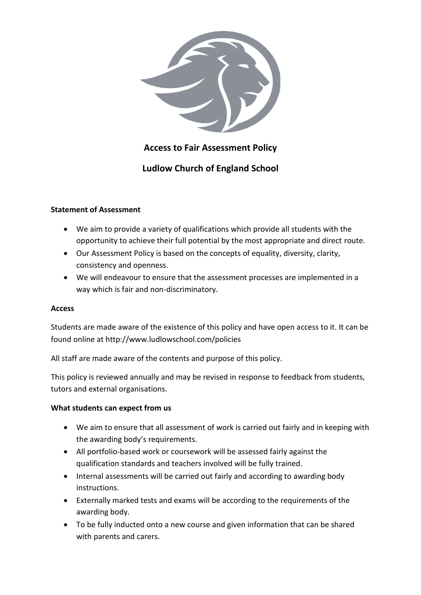

# **Access to Fair Assessment Policy**

# **Ludlow Church of England School**

## **Statement of Assessment**

- We aim to provide a variety of qualifications which provide all students with the opportunity to achieve their full potential by the most appropriate and direct route.
- Our Assessment Policy is based on the concepts of equality, diversity, clarity, consistency and openness.
- We will endeavour to ensure that the assessment processes are implemented in a way which is fair and non-discriminatory.

### **Access**

Students are made aware of the existence of this policy and have open access to it. It can be found online at http://www.ludlowschool.com/policies

All staff are made aware of the contents and purpose of this policy.

This policy is reviewed annually and may be revised in response to feedback from students, tutors and external organisations.

### **What students can expect from us**

- We aim to ensure that all assessment of work is carried out fairly and in keeping with the awarding body's requirements.
- All portfolio-based work or coursework will be assessed fairly against the qualification standards and teachers involved will be fully trained.
- Internal assessments will be carried out fairly and according to awarding body instructions.
- Externally marked tests and exams will be according to the requirements of the awarding body.
- To be fully inducted onto a new course and given information that can be shared with parents and carers.